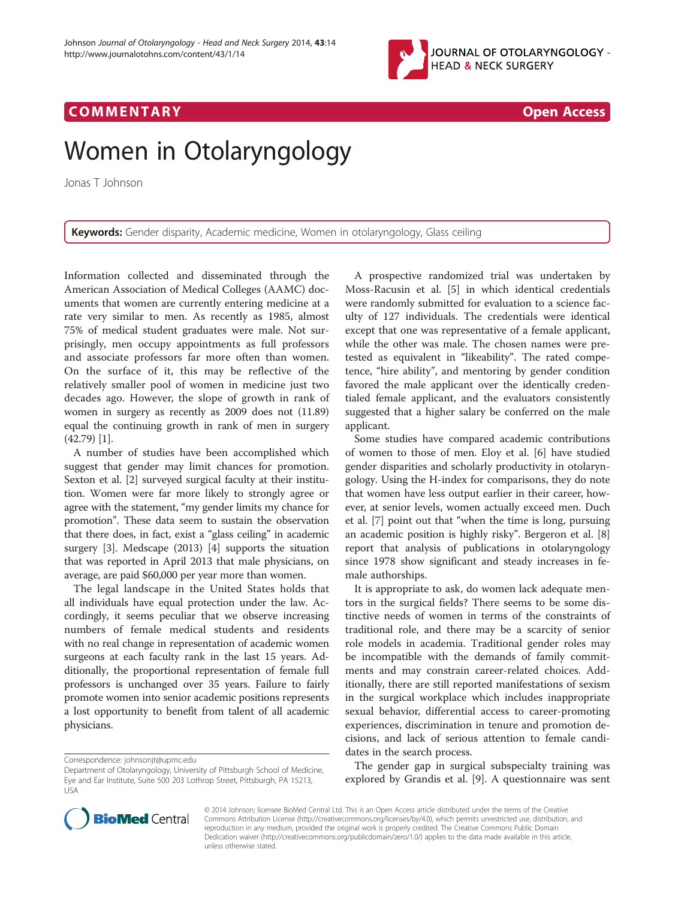

## COMM EN TARY Open Access

# Women in Otolaryngology

Jonas T Johnson

Keywords: Gender disparity, Academic medicine, Women in otolaryngology, Glass ceiling

Information collected and disseminated through the American Association of Medical Colleges (AAMC) documents that women are currently entering medicine at a rate very similar to men. As recently as 1985, almost 75% of medical student graduates were male. Not surprisingly, men occupy appointments as full professors and associate professors far more often than women. On the surface of it, this may be reflective of the relatively smaller pool of women in medicine just two decades ago. However, the slope of growth in rank of women in surgery as recently as 2009 does not (11.89) equal the continuing growth in rank of men in surgery (42.79) [\[1\]](#page-1-0).

A number of studies have been accomplished which suggest that gender may limit chances for promotion. Sexton et al. [\[2\]](#page-1-0) surveyed surgical faculty at their institution. Women were far more likely to strongly agree or agree with the statement, "my gender limits my chance for promotion". These data seem to sustain the observation that there does, in fact, exist a "glass ceiling" in academic surgery [[3\]](#page-1-0). Medscape (2013) [[4](#page-1-0)] supports the situation that was reported in April 2013 that male physicians, on average, are paid \$60,000 per year more than women.

The legal landscape in the United States holds that all individuals have equal protection under the law. Accordingly, it seems peculiar that we observe increasing numbers of female medical students and residents with no real change in representation of academic women surgeons at each faculty rank in the last 15 years. Additionally, the proportional representation of female full professors is unchanged over 35 years. Failure to fairly promote women into senior academic positions represents a lost opportunity to benefit from talent of all academic physicians.

A prospective randomized trial was undertaken by Moss-Racusin et al. [\[5\]](#page-1-0) in which identical credentials were randomly submitted for evaluation to a science faculty of 127 individuals. The credentials were identical except that one was representative of a female applicant, while the other was male. The chosen names were pretested as equivalent in "likeability". The rated competence, "hire ability", and mentoring by gender condition favored the male applicant over the identically credentialed female applicant, and the evaluators consistently suggested that a higher salary be conferred on the male applicant.

Some studies have compared academic contributions of women to those of men. Eloy et al. [\[6](#page-1-0)] have studied gender disparities and scholarly productivity in otolaryngology. Using the H-index for comparisons, they do note that women have less output earlier in their career, however, at senior levels, women actually exceed men. Duch et al. [\[7\]](#page-1-0) point out that "when the time is long, pursuing an academic position is highly risky". Bergeron et al. [\[8](#page-1-0)] report that analysis of publications in otolaryngology since 1978 show significant and steady increases in female authorships.

It is appropriate to ask, do women lack adequate mentors in the surgical fields? There seems to be some distinctive needs of women in terms of the constraints of traditional role, and there may be a scarcity of senior role models in academia. Traditional gender roles may be incompatible with the demands of family commitments and may constrain career-related choices. Additionally, there are still reported manifestations of sexism in the surgical workplace which includes inappropriate sexual behavior, differential access to career-promoting experiences, discrimination in tenure and promotion decisions, and lack of serious attention to female candidates in the search process.

The gender gap in surgical subspecialty training was explored by Grandis et al. [[9\]](#page-1-0). A questionnaire was sent



© 2014 Johnson; licensee BioMed Central Ltd. This is an Open Access article distributed under the terms of the Creative Commons Attribution License [\(http://creativecommons.org/licenses/by/4.0\)](http://creativecommons.org/licenses/by/4.0), which permits unrestricted use, distribution, and reproduction in any medium, provided the original work is properly credited. The Creative Commons Public Domain Dedication waiver [\(http://creativecommons.org/publicdomain/zero/1.0/](http://creativecommons.org/publicdomain/zero/1.0/)) applies to the data made available in this article, unless otherwise stated.

Correspondence: [johnsonjt@upmc.edu](mailto:johnsonjt@upmc.edu)

Department of Otolaryngology, University of Pittsburgh School of Medicine, Eye and Ear Institute, Suite 500 203 Lothrop Street, Pittsburgh, PA 15213, USA